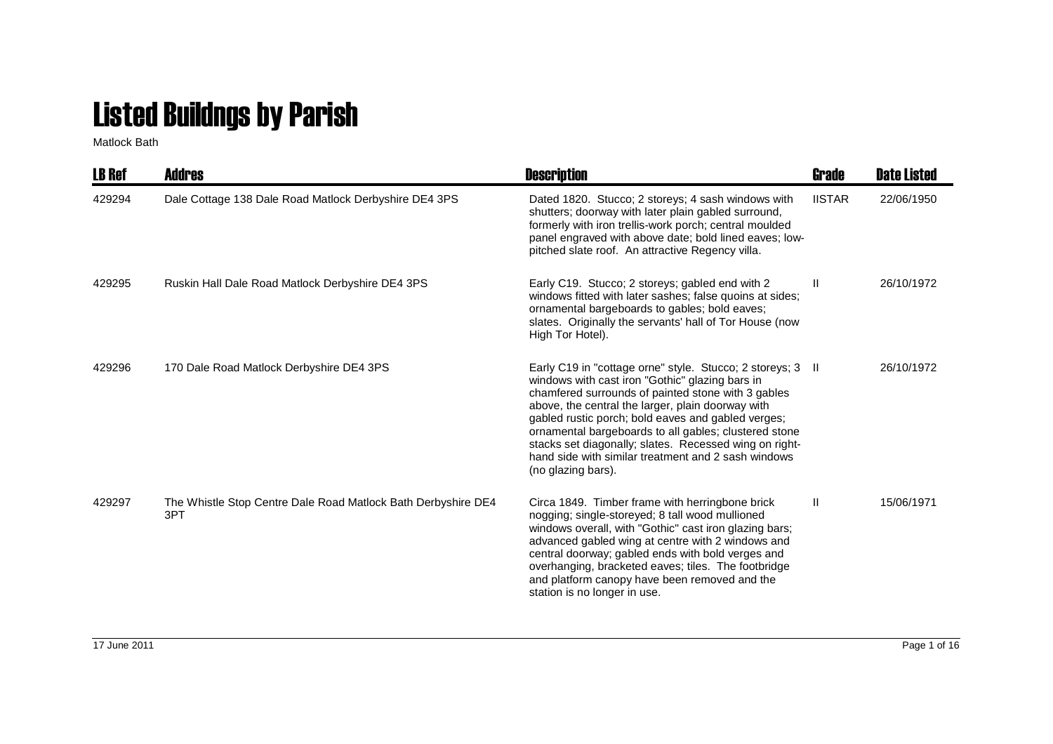## Listed Buildngs by Parish

Matlock Bath

| <b>LB Ref</b> | <b>Addres</b>                                                        | <b>Description</b>                                                                                                                                                                                                                                                                                                                                                                                                                                                             | Grade         | <b>Date Listed</b> |
|---------------|----------------------------------------------------------------------|--------------------------------------------------------------------------------------------------------------------------------------------------------------------------------------------------------------------------------------------------------------------------------------------------------------------------------------------------------------------------------------------------------------------------------------------------------------------------------|---------------|--------------------|
| 429294        | Dale Cottage 138 Dale Road Matlock Derbyshire DE4 3PS                | Dated 1820. Stucco; 2 storeys; 4 sash windows with<br>shutters; doorway with later plain gabled surround,<br>formerly with iron trellis-work porch; central moulded<br>panel engraved with above date; bold lined eaves; low-<br>pitched slate roof. An attractive Regency villa.                                                                                                                                                                                              | <b>IISTAR</b> | 22/06/1950         |
| 429295        | Ruskin Hall Dale Road Matlock Derbyshire DE4 3PS                     | Early C19. Stucco; 2 storeys; gabled end with 2<br>windows fitted with later sashes; false quoins at sides;<br>ornamental bargeboards to gables; bold eaves;<br>slates. Originally the servants' hall of Tor House (now<br>High Tor Hotel).                                                                                                                                                                                                                                    | $\mathbf{H}$  | 26/10/1972         |
| 429296        | 170 Dale Road Matlock Derbyshire DE4 3PS                             | Early C19 in "cottage orne" style. Stucco; 2 storeys; 3 II<br>windows with cast iron "Gothic" glazing bars in<br>chamfered surrounds of painted stone with 3 gables<br>above, the central the larger, plain doorway with<br>gabled rustic porch; bold eaves and gabled verges;<br>ornamental bargeboards to all gables; clustered stone<br>stacks set diagonally; slates. Recessed wing on right-<br>hand side with similar treatment and 2 sash windows<br>(no glazing bars). |               | 26/10/1972         |
| 429297        | The Whistle Stop Centre Dale Road Matlock Bath Derbyshire DE4<br>3PT | Circa 1849. Timber frame with herringbone brick<br>nogging; single-storeyed; 8 tall wood mullioned<br>windows overall, with "Gothic" cast iron glazing bars;<br>advanced gabled wing at centre with 2 windows and<br>central doorway; gabled ends with bold verges and<br>overhanging, bracketed eaves; tiles. The footbridge<br>and platform canopy have been removed and the<br>station is no longer in use.                                                                 | Ш.            | 15/06/1971         |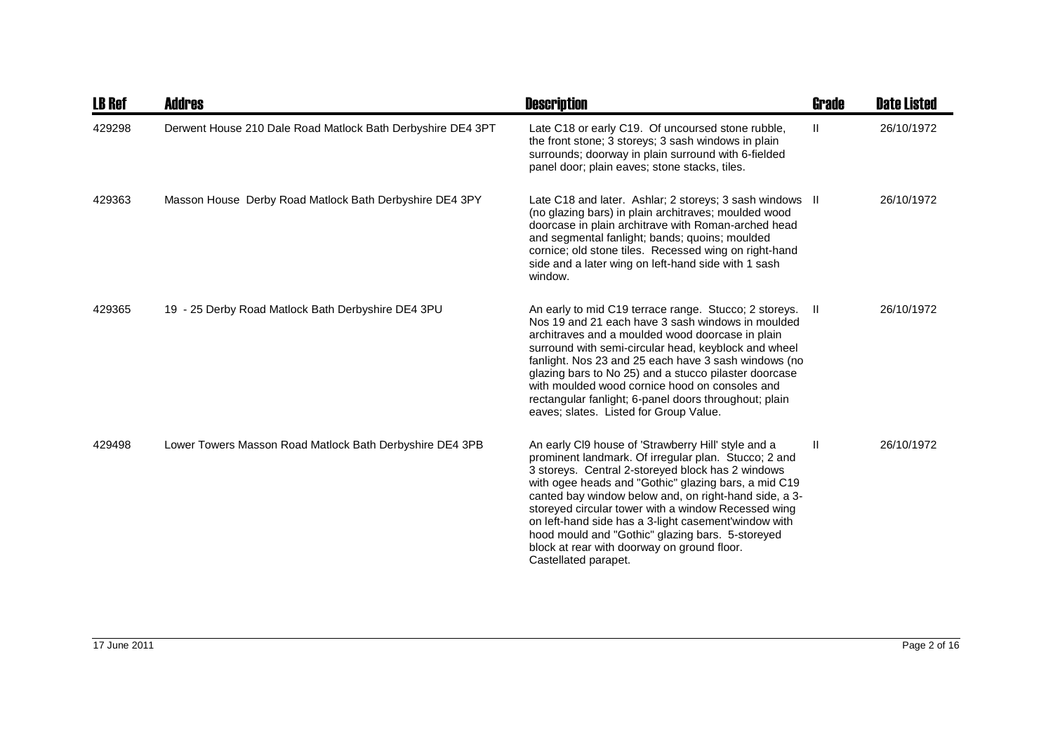| <b>LB Ref</b> | Addres                                                      | <b>Description</b>                                                                                                                                                                                                                                                                                                                                                                                                                                                                                                          | Grade        | <b>Date Listed</b> |
|---------------|-------------------------------------------------------------|-----------------------------------------------------------------------------------------------------------------------------------------------------------------------------------------------------------------------------------------------------------------------------------------------------------------------------------------------------------------------------------------------------------------------------------------------------------------------------------------------------------------------------|--------------|--------------------|
| 429298        | Derwent House 210 Dale Road Matlock Bath Derbyshire DE4 3PT | Late C18 or early C19. Of uncoursed stone rubble,<br>the front stone; 3 storeys; 3 sash windows in plain<br>surrounds; doorway in plain surround with 6-fielded<br>panel door; plain eaves; stone stacks, tiles.                                                                                                                                                                                                                                                                                                            | $\mathbf{H}$ | 26/10/1972         |
| 429363        | Masson House Derby Road Matlock Bath Derbyshire DE4 3PY     | Late C18 and later. Ashlar; 2 storeys; 3 sash windows II<br>(no glazing bars) in plain architraves; moulded wood<br>doorcase in plain architrave with Roman-arched head<br>and segmental fanlight; bands; quoins; moulded<br>cornice; old stone tiles. Recessed wing on right-hand<br>side and a later wing on left-hand side with 1 sash<br>window.                                                                                                                                                                        |              | 26/10/1972         |
| 429365        | 19 - 25 Derby Road Matlock Bath Derbyshire DE4 3PU          | An early to mid C19 terrace range. Stucco; 2 storeys. II<br>Nos 19 and 21 each have 3 sash windows in moulded<br>architraves and a moulded wood doorcase in plain<br>surround with semi-circular head, keyblock and wheel<br>fanlight. Nos 23 and 25 each have 3 sash windows (no<br>glazing bars to No 25) and a stucco pilaster doorcase<br>with moulded wood cornice hood on consoles and<br>rectangular fanlight; 6-panel doors throughout; plain<br>eaves; slates. Listed for Group Value.                             |              | 26/10/1972         |
| 429498        | Lower Towers Masson Road Matlock Bath Derbyshire DE4 3PB    | An early CI9 house of 'Strawberry Hill' style and a<br>prominent landmark. Of irregular plan. Stucco; 2 and<br>3 storeys. Central 2-storeyed block has 2 windows<br>with ogee heads and "Gothic" glazing bars, a mid C19<br>canted bay window below and, on right-hand side, a 3-<br>storeyed circular tower with a window Recessed wing<br>on left-hand side has a 3-light casement'window with<br>hood mould and "Gothic" glazing bars. 5-storeyed<br>block at rear with doorway on ground floor.<br>Castellated parapet. | $\mathbf{I}$ | 26/10/1972         |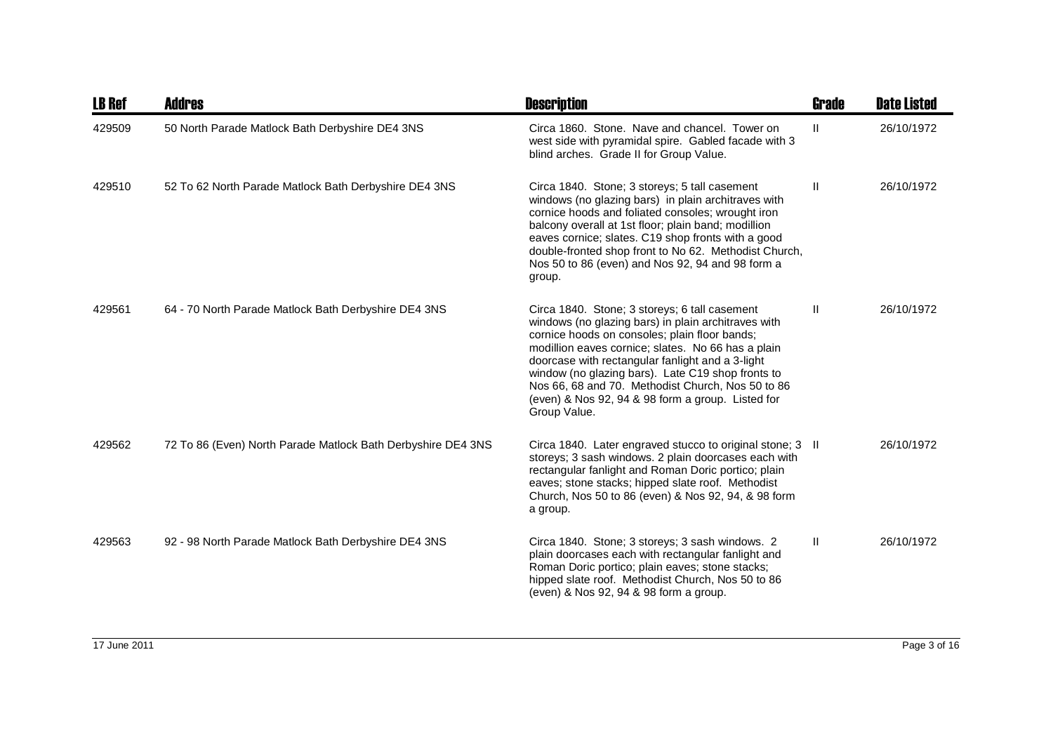| <b>LB Ref</b> | <b>Addres</b>                                                | <b>Description</b>                                                                                                                                                                                                                                                                                                                                                                                                                             | <b>Grade</b> | <b>Date Listed</b> |
|---------------|--------------------------------------------------------------|------------------------------------------------------------------------------------------------------------------------------------------------------------------------------------------------------------------------------------------------------------------------------------------------------------------------------------------------------------------------------------------------------------------------------------------------|--------------|--------------------|
| 429509        | 50 North Parade Matlock Bath Derbyshire DE4 3NS              | Circa 1860. Stone. Nave and chancel. Tower on<br>west side with pyramidal spire. Gabled facade with 3<br>blind arches. Grade II for Group Value.                                                                                                                                                                                                                                                                                               | $\mathbf{H}$ | 26/10/1972         |
| 429510        | 52 To 62 North Parade Matlock Bath Derbyshire DE4 3NS        | Circa 1840. Stone; 3 storeys; 5 tall casement<br>windows (no glazing bars) in plain architraves with<br>cornice hoods and foliated consoles; wrought iron<br>balcony overall at 1st floor; plain band; modillion<br>eaves cornice; slates. C19 shop fronts with a good<br>double-fronted shop front to No 62. Methodist Church,<br>Nos 50 to 86 (even) and Nos 92, 94 and 98 form a<br>group.                                                  | $\mathbf{H}$ | 26/10/1972         |
| 429561        | 64 - 70 North Parade Matlock Bath Derbyshire DE4 3NS         | Circa 1840. Stone; 3 storeys; 6 tall casement<br>windows (no glazing bars) in plain architraves with<br>cornice hoods on consoles; plain floor bands;<br>modillion eaves cornice; slates. No 66 has a plain<br>doorcase with rectangular fanlight and a 3-light<br>window (no glazing bars). Late C19 shop fronts to<br>Nos 66, 68 and 70. Methodist Church, Nos 50 to 86<br>(even) & Nos 92, 94 & 98 form a group. Listed for<br>Group Value. | Ш            | 26/10/1972         |
| 429562        | 72 To 86 (Even) North Parade Matlock Bath Derbyshire DE4 3NS | Circa 1840. Later engraved stucco to original stone; 3 II<br>storeys; 3 sash windows. 2 plain doorcases each with<br>rectangular fanlight and Roman Doric portico; plain<br>eaves; stone stacks; hipped slate roof. Methodist<br>Church, Nos 50 to 86 (even) & Nos 92, 94, & 98 form<br>a group.                                                                                                                                               |              | 26/10/1972         |
| 429563        | 92 - 98 North Parade Matlock Bath Derbyshire DE4 3NS         | Circa 1840. Stone; 3 storeys; 3 sash windows. 2<br>plain doorcases each with rectangular fanlight and<br>Roman Doric portico; plain eaves; stone stacks;<br>hipped slate roof. Methodist Church, Nos 50 to 86<br>(even) & Nos 92, 94 & 98 form a group.                                                                                                                                                                                        | Ш            | 26/10/1972         |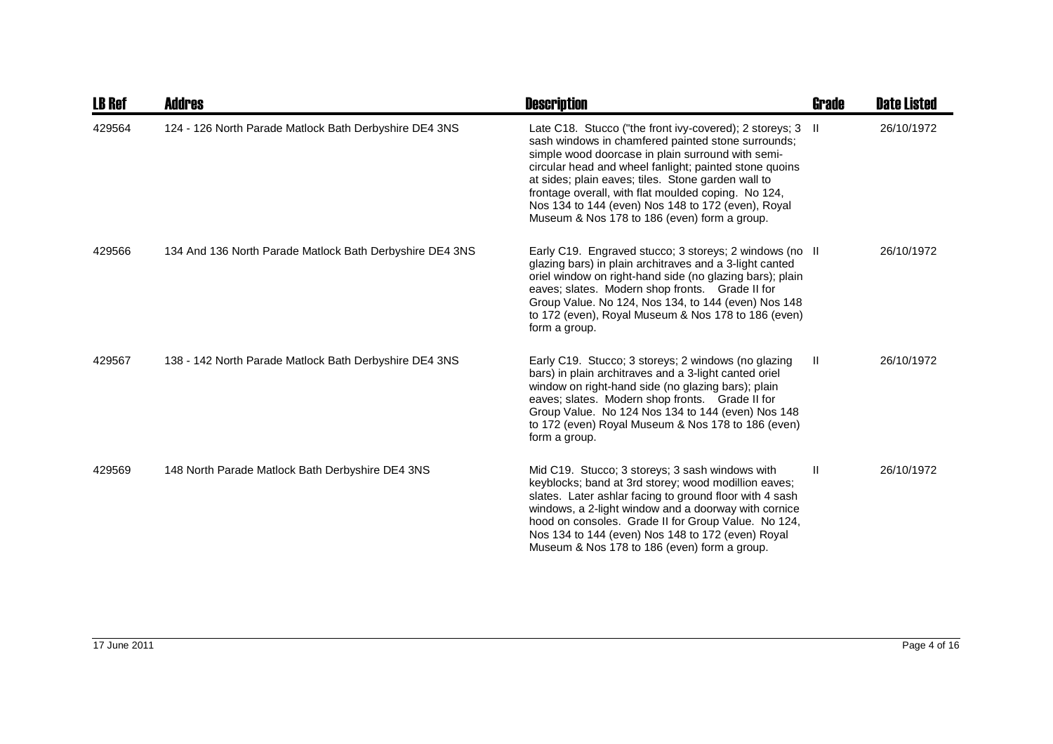| <b>LB Ref</b> | <b>Addres</b>                                            | <b>Description</b>                                                                                                                                                                                                                                                                                                                                                                                                                                 | Grade        | <b>Date Listed</b> |
|---------------|----------------------------------------------------------|----------------------------------------------------------------------------------------------------------------------------------------------------------------------------------------------------------------------------------------------------------------------------------------------------------------------------------------------------------------------------------------------------------------------------------------------------|--------------|--------------------|
| 429564        | 124 - 126 North Parade Matlock Bath Derbyshire DE4 3NS   | Late C18. Stucco ("the front ivy-covered); 2 storeys; 3 II<br>sash windows in chamfered painted stone surrounds;<br>simple wood doorcase in plain surround with semi-<br>circular head and wheel fanlight; painted stone quoins<br>at sides; plain eaves; tiles. Stone garden wall to<br>frontage overall, with flat moulded coping. No 124,<br>Nos 134 to 144 (even) Nos 148 to 172 (even), Royal<br>Museum & Nos 178 to 186 (even) form a group. |              | 26/10/1972         |
| 429566        | 134 And 136 North Parade Matlock Bath Derbyshire DE4 3NS | Early C19. Engraved stucco; 3 storeys; 2 windows (no II<br>glazing bars) in plain architraves and a 3-light canted<br>oriel window on right-hand side (no glazing bars); plain<br>eaves; slates. Modern shop fronts. Grade II for<br>Group Value. No 124, Nos 134, to 144 (even) Nos 148<br>to 172 (even), Royal Museum & Nos 178 to 186 (even)<br>form a group.                                                                                   |              | 26/10/1972         |
| 429567        | 138 - 142 North Parade Matlock Bath Derbyshire DE4 3NS   | Early C19. Stucco; 3 storeys; 2 windows (no glazing<br>bars) in plain architraves and a 3-light canted oriel<br>window on right-hand side (no glazing bars); plain<br>eaves; slates. Modern shop fronts. Grade II for<br>Group Value. No 124 Nos 134 to 144 (even) Nos 148<br>to 172 (even) Royal Museum & Nos 178 to 186 (even)<br>form a group.                                                                                                  | $\mathbf{H}$ | 26/10/1972         |
| 429569        | 148 North Parade Matlock Bath Derbyshire DE4 3NS         | Mid C19. Stucco; 3 storeys; 3 sash windows with<br>keyblocks; band at 3rd storey; wood modillion eaves;<br>slates. Later ashlar facing to ground floor with 4 sash<br>windows, a 2-light window and a doorway with cornice<br>hood on consoles. Grade II for Group Value. No 124,<br>Nos 134 to 144 (even) Nos 148 to 172 (even) Royal<br>Museum & Nos 178 to 186 (even) form a group.                                                             | H.           | 26/10/1972         |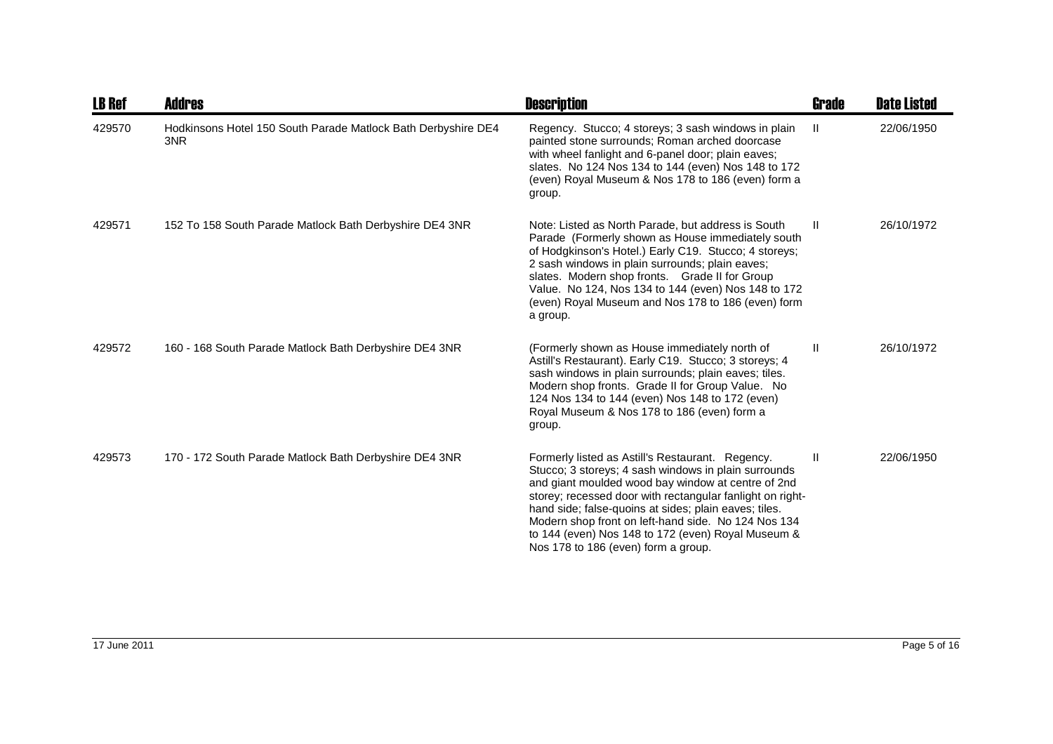| <b>LB Ref</b> | <b>Addres</b>                                                        | <b>Description</b>                                                                                                                                                                                                                                                                                                                                                                                                                       | Grade         | <b>Date Listed</b> |
|---------------|----------------------------------------------------------------------|------------------------------------------------------------------------------------------------------------------------------------------------------------------------------------------------------------------------------------------------------------------------------------------------------------------------------------------------------------------------------------------------------------------------------------------|---------------|--------------------|
| 429570        | Hodkinsons Hotel 150 South Parade Matlock Bath Derbyshire DE4<br>3NR | Regency. Stucco; 4 storeys; 3 sash windows in plain<br>painted stone surrounds; Roman arched doorcase<br>with wheel fanlight and 6-panel door; plain eaves;<br>slates. No 124 Nos 134 to 144 (even) Nos 148 to 172<br>(even) Royal Museum & Nos 178 to 186 (even) form a<br>group.                                                                                                                                                       | -II           | 22/06/1950         |
| 429571        | 152 To 158 South Parade Matlock Bath Derbyshire DE4 3NR              | Note: Listed as North Parade, but address is South<br>Parade (Formerly shown as House immediately south<br>of Hodgkinson's Hotel.) Early C19. Stucco; 4 storeys;<br>2 sash windows in plain surrounds; plain eaves;<br>slates. Modern shop fronts. Grade II for Group<br>Value. No 124, Nos 134 to 144 (even) Nos 148 to 172<br>(even) Royal Museum and Nos 178 to 186 (even) form<br>a group.                                           | -H.           | 26/10/1972         |
| 429572        | 160 - 168 South Parade Matlock Bath Derbyshire DE4 3NR               | (Formerly shown as House immediately north of<br>Astill's Restaurant). Early C19. Stucco; 3 storeys; 4<br>sash windows in plain surrounds; plain eaves; tiles.<br>Modern shop fronts. Grade II for Group Value. No<br>124 Nos 134 to 144 (even) Nos 148 to 172 (even)<br>Royal Museum & Nos 178 to 186 (even) form a<br>group.                                                                                                           | $\mathbf{H}$  | 26/10/1972         |
| 429573        | 170 - 172 South Parade Matlock Bath Derbyshire DE4 3NR               | Formerly listed as Astill's Restaurant. Regency.<br>Stucco; 3 storeys; 4 sash windows in plain surrounds<br>and giant moulded wood bay window at centre of 2nd<br>storey; recessed door with rectangular fanlight on right-<br>hand side; false-quoins at sides; plain eaves; tiles.<br>Modern shop front on left-hand side. No 124 Nos 134<br>to 144 (even) Nos 148 to 172 (even) Royal Museum &<br>Nos 178 to 186 (even) form a group. | $\mathbf{II}$ | 22/06/1950         |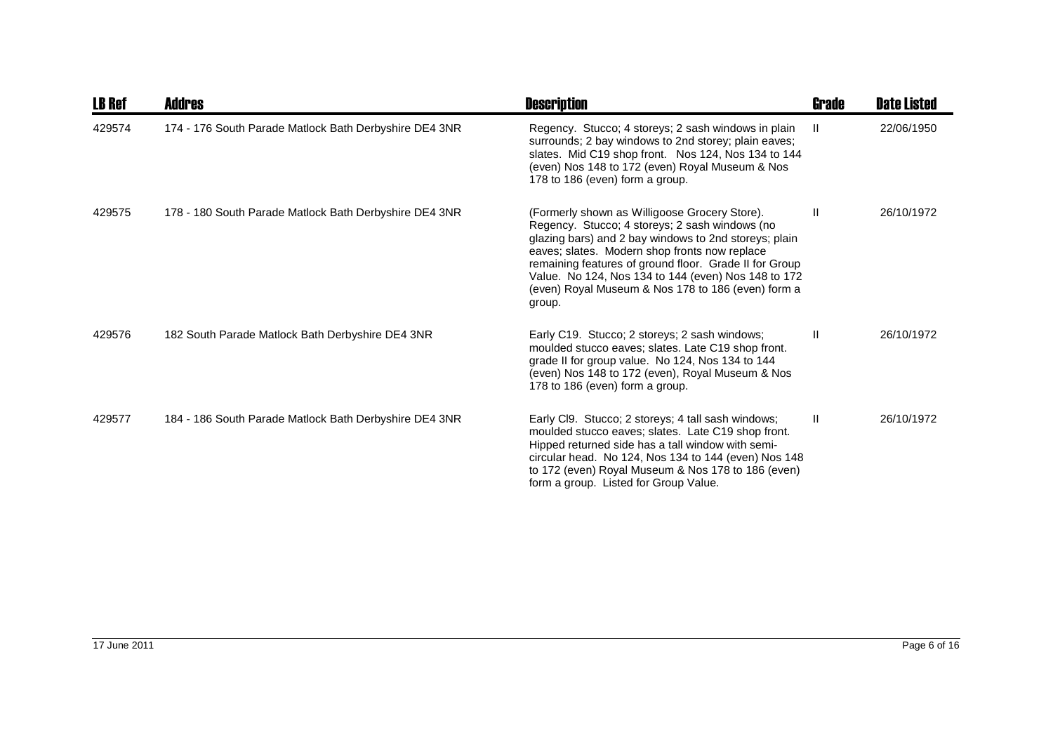| <b>LB Ref</b> | Addres                                                 | <b>Description</b>                                                                                                                                                                                                                                                                                                                                                                         | <b>Grade</b> | <b>Date Listed</b> |
|---------------|--------------------------------------------------------|--------------------------------------------------------------------------------------------------------------------------------------------------------------------------------------------------------------------------------------------------------------------------------------------------------------------------------------------------------------------------------------------|--------------|--------------------|
| 429574        | 174 - 176 South Parade Matlock Bath Derbyshire DE4 3NR | Regency. Stucco; 4 storeys; 2 sash windows in plain<br>surrounds; 2 bay windows to 2nd storey; plain eaves;<br>slates. Mid C19 shop front. Nos 124, Nos 134 to 144<br>(even) Nos 148 to 172 (even) Royal Museum & Nos<br>178 to 186 (even) form a group.                                                                                                                                   |              | 22/06/1950         |
| 429575        | 178 - 180 South Parade Matlock Bath Derbyshire DE4 3NR | (Formerly shown as Willigoose Grocery Store).<br>Regency. Stucco; 4 storeys; 2 sash windows (no<br>glazing bars) and 2 bay windows to 2nd storeys; plain<br>eaves; slates. Modern shop fronts now replace<br>remaining features of ground floor. Grade II for Group<br>Value. No 124, Nos 134 to 144 (even) Nos 148 to 172<br>(even) Royal Museum & Nos 178 to 186 (even) form a<br>group. | Ш            | 26/10/1972         |
| 429576        | 182 South Parade Matlock Bath Derbyshire DE4 3NR       | Early C19. Stucco; 2 storeys; 2 sash windows;<br>moulded stucco eaves; slates. Late C19 shop front.<br>grade II for group value. No 124, Nos 134 to 144<br>(even) Nos 148 to 172 (even), Royal Museum & Nos<br>178 to 186 (even) form a group.                                                                                                                                             | $\mathbf{I}$ | 26/10/1972         |
| 429577        | 184 - 186 South Parade Matlock Bath Derbyshire DE4 3NR | Early Cl9. Stucco; 2 storeys; 4 tall sash windows;<br>moulded stucco eaves; slates. Late C19 shop front.<br>Hipped returned side has a tall window with semi-<br>circular head. No 124, Nos 134 to 144 (even) Nos 148<br>to 172 (even) Royal Museum & Nos 178 to 186 (even)<br>form a group. Listed for Group Value.                                                                       | $\mathbf{I}$ | 26/10/1972         |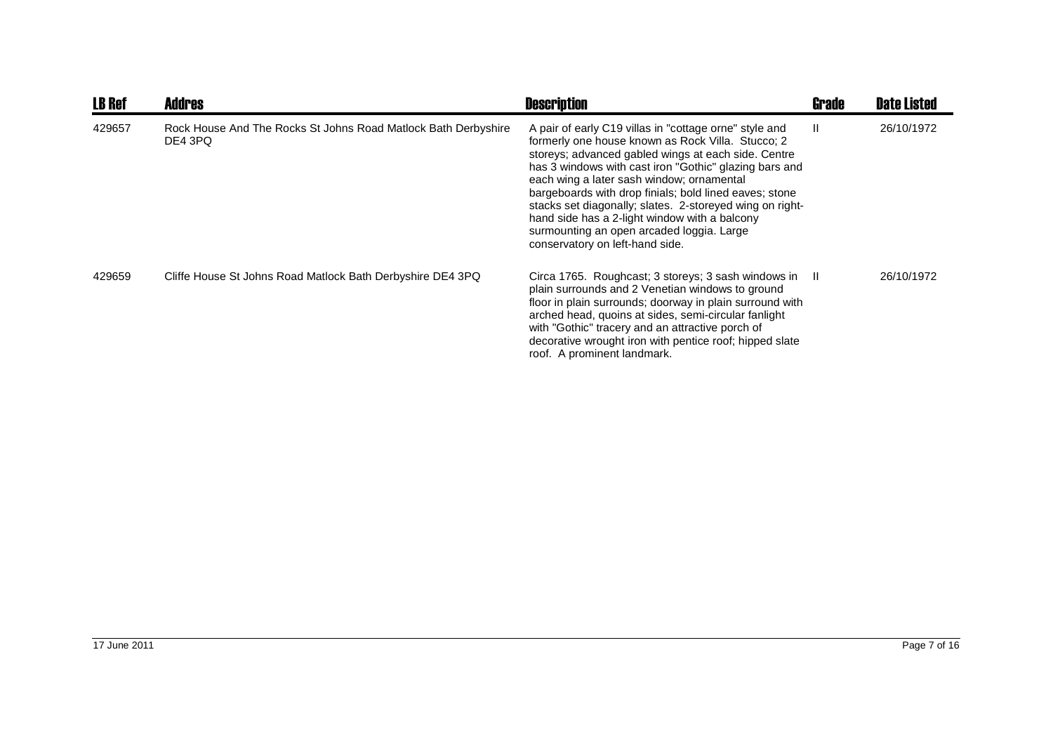| <b>LB Ref</b> | <b>Addres</b>                                                             | <b>Description</b>                                                                                                                                                                                                                                                                                                                                                                                                                                                                                                               | Grade        | <b>Date Listed</b> |
|---------------|---------------------------------------------------------------------------|----------------------------------------------------------------------------------------------------------------------------------------------------------------------------------------------------------------------------------------------------------------------------------------------------------------------------------------------------------------------------------------------------------------------------------------------------------------------------------------------------------------------------------|--------------|--------------------|
| 429657        | Rock House And The Rocks St Johns Road Matlock Bath Derbyshire<br>DE4 3PQ | A pair of early C19 villas in "cottage orne" style and<br>formerly one house known as Rock Villa. Stucco; 2<br>storeys; advanced gabled wings at each side. Centre<br>has 3 windows with cast iron "Gothic" glazing bars and<br>each wing a later sash window; ornamental<br>bargeboards with drop finials; bold lined eaves; stone<br>stacks set diagonally; slates. 2-storeyed wing on right-<br>hand side has a 2-light window with a balcony<br>surmounting an open arcaded loggia. Large<br>conservatory on left-hand side. | $\mathbf{I}$ | 26/10/1972         |
| 429659        | Cliffe House St Johns Road Matlock Bath Derbyshire DE4 3PQ                | Circa 1765. Roughcast; 3 storeys; 3 sash windows in<br>plain surrounds and 2 Venetian windows to ground<br>floor in plain surrounds; doorway in plain surround with<br>arched head, quoins at sides, semi-circular fanlight<br>with "Gothic" tracery and an attractive porch of<br>decorative wrought iron with pentice roof; hipped slate<br>roof. A prominent landmark.                                                                                                                                                        | -H           | 26/10/1972         |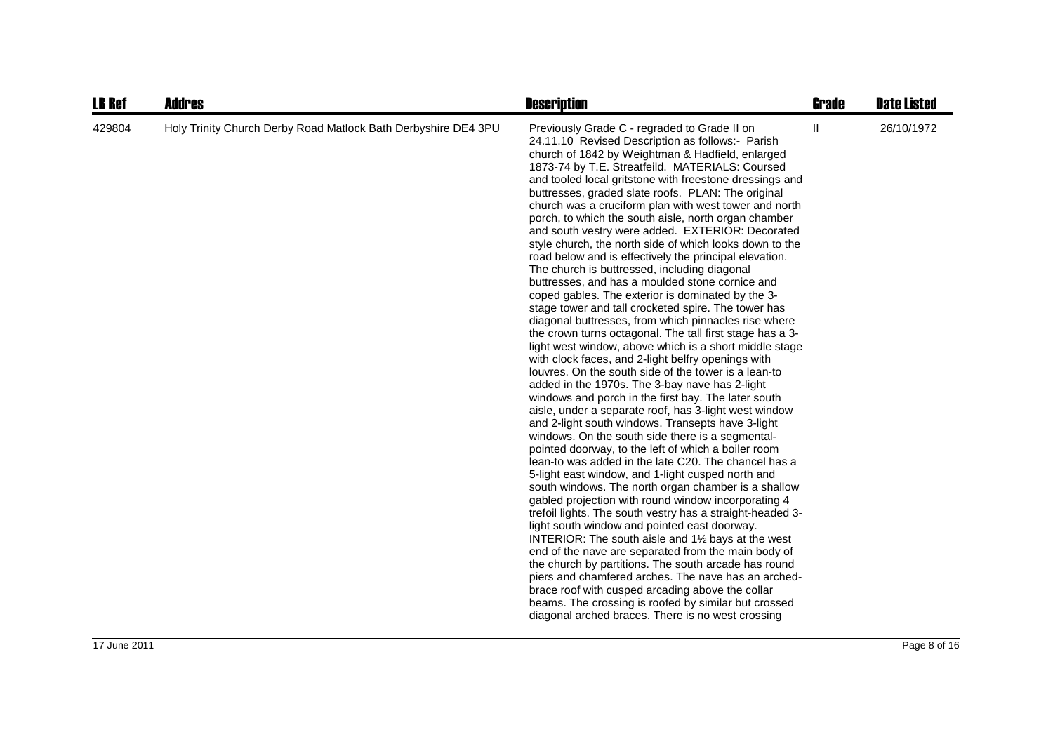| <b>LB Ref</b> | <b>Addres</b>                                                  | <b>Description</b>                                                                                                                                                                                                                                                                                                                                                                                                                                                                                                                                                                                                                                                                                                                                                                                                                                                                                                                                                                                                                                                                                                                                                                                                                                                                                                                                                                                                                                                                                                                                                                                                                                                                                                                                                                                                                                                                                                                                                                                                                                                                                                                                                                                    | Grade        | <b>Date Listed</b> |
|---------------|----------------------------------------------------------------|-------------------------------------------------------------------------------------------------------------------------------------------------------------------------------------------------------------------------------------------------------------------------------------------------------------------------------------------------------------------------------------------------------------------------------------------------------------------------------------------------------------------------------------------------------------------------------------------------------------------------------------------------------------------------------------------------------------------------------------------------------------------------------------------------------------------------------------------------------------------------------------------------------------------------------------------------------------------------------------------------------------------------------------------------------------------------------------------------------------------------------------------------------------------------------------------------------------------------------------------------------------------------------------------------------------------------------------------------------------------------------------------------------------------------------------------------------------------------------------------------------------------------------------------------------------------------------------------------------------------------------------------------------------------------------------------------------------------------------------------------------------------------------------------------------------------------------------------------------------------------------------------------------------------------------------------------------------------------------------------------------------------------------------------------------------------------------------------------------------------------------------------------------------------------------------------------------|--------------|--------------------|
| 429804        | Holy Trinity Church Derby Road Matlock Bath Derbyshire DE4 3PU | Previously Grade C - regraded to Grade II on<br>24.11.10 Revised Description as follows:- Parish<br>church of 1842 by Weightman & Hadfield, enlarged<br>1873-74 by T.E. Streatfeild. MATERIALS: Coursed<br>and tooled local gritstone with freestone dressings and<br>buttresses, graded slate roofs. PLAN: The original<br>church was a cruciform plan with west tower and north<br>porch, to which the south aisle, north organ chamber<br>and south vestry were added. EXTERIOR: Decorated<br>style church, the north side of which looks down to the<br>road below and is effectively the principal elevation.<br>The church is buttressed, including diagonal<br>buttresses, and has a moulded stone cornice and<br>coped gables. The exterior is dominated by the 3-<br>stage tower and tall crocketed spire. The tower has<br>diagonal buttresses, from which pinnacles rise where<br>the crown turns octagonal. The tall first stage has a 3-<br>light west window, above which is a short middle stage<br>with clock faces, and 2-light belfry openings with<br>louvres. On the south side of the tower is a lean-to<br>added in the 1970s. The 3-bay nave has 2-light<br>windows and porch in the first bay. The later south<br>aisle, under a separate roof, has 3-light west window<br>and 2-light south windows. Transepts have 3-light<br>windows. On the south side there is a segmental-<br>pointed doorway, to the left of which a boiler room<br>lean-to was added in the late C20. The chancel has a<br>5-light east window, and 1-light cusped north and<br>south windows. The north organ chamber is a shallow<br>gabled projection with round window incorporating 4<br>trefoil lights. The south vestry has a straight-headed 3-<br>light south window and pointed east doorway.<br>INTERIOR: The south aisle and 11/2 bays at the west<br>end of the nave are separated from the main body of<br>the church by partitions. The south arcade has round<br>piers and chamfered arches. The nave has an arched-<br>brace roof with cusped arcading above the collar<br>beams. The crossing is roofed by similar but crossed<br>diagonal arched braces. There is no west crossing | $\mathbf{H}$ | 26/10/1972         |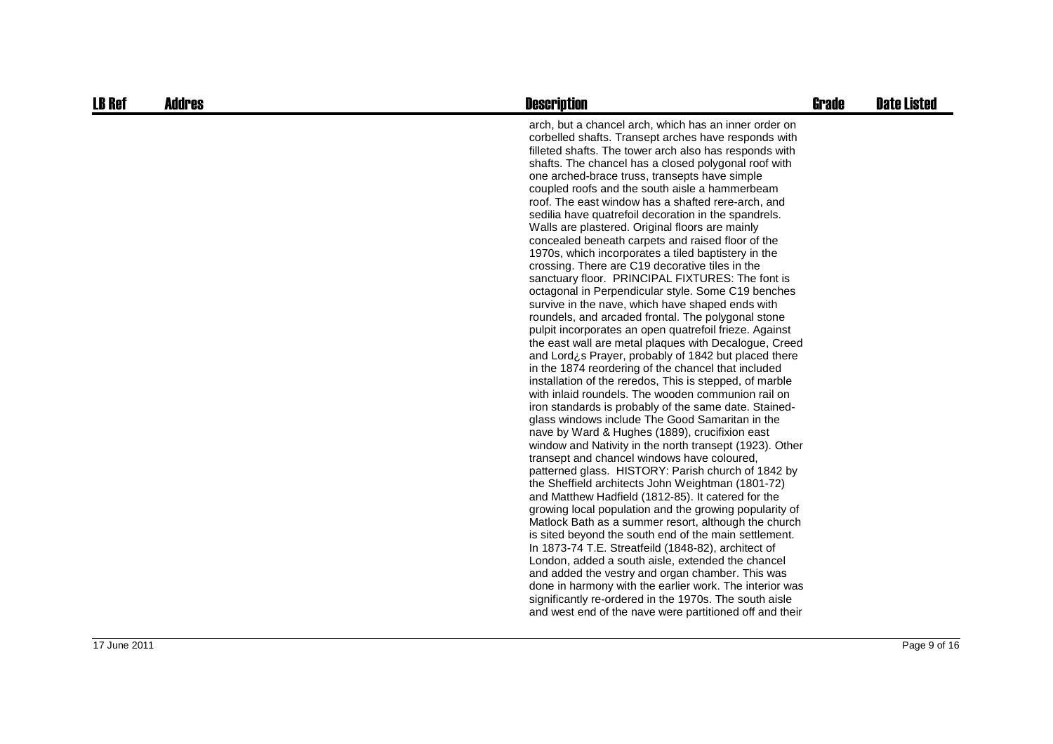| <b>LB Ref</b> | <b>Addres</b> | <b>Description</b>                                                                                                                                                                                                                                                                                                                                                                                                                                                                                                                                                                                                                                                                                                                                                                                                                                                                                                                                                                                                                                                                                                                                                                                                                                                                                                                                                                                                                                                                                                                                                                                                                                                                                                                                                                                                                                                                                                                                                                                                                                                                                                                                                                                            | <b>Grade</b> | <b>Date Listed</b> |
|---------------|---------------|---------------------------------------------------------------------------------------------------------------------------------------------------------------------------------------------------------------------------------------------------------------------------------------------------------------------------------------------------------------------------------------------------------------------------------------------------------------------------------------------------------------------------------------------------------------------------------------------------------------------------------------------------------------------------------------------------------------------------------------------------------------------------------------------------------------------------------------------------------------------------------------------------------------------------------------------------------------------------------------------------------------------------------------------------------------------------------------------------------------------------------------------------------------------------------------------------------------------------------------------------------------------------------------------------------------------------------------------------------------------------------------------------------------------------------------------------------------------------------------------------------------------------------------------------------------------------------------------------------------------------------------------------------------------------------------------------------------------------------------------------------------------------------------------------------------------------------------------------------------------------------------------------------------------------------------------------------------------------------------------------------------------------------------------------------------------------------------------------------------------------------------------------------------------------------------------------------------|--------------|--------------------|
|               |               | arch, but a chancel arch, which has an inner order on<br>corbelled shafts. Transept arches have responds with<br>filleted shafts. The tower arch also has responds with<br>shafts. The chancel has a closed polygonal roof with<br>one arched-brace truss, transepts have simple<br>coupled roofs and the south aisle a hammerbeam<br>roof. The east window has a shafted rere-arch, and<br>sedilia have quatrefoil decoration in the spandrels.<br>Walls are plastered. Original floors are mainly<br>concealed beneath carpets and raised floor of the<br>1970s, which incorporates a tiled baptistery in the<br>crossing. There are C19 decorative tiles in the<br>sanctuary floor. PRINCIPAL FIXTURES: The font is<br>octagonal in Perpendicular style. Some C19 benches<br>survive in the nave, which have shaped ends with<br>roundels, and arcaded frontal. The polygonal stone<br>pulpit incorporates an open quatrefoil frieze. Against<br>the east wall are metal plaques with Decalogue, Creed<br>and Lord¿s Prayer, probably of 1842 but placed there<br>in the 1874 reordering of the chancel that included<br>installation of the reredos, This is stepped, of marble<br>with inlaid roundels. The wooden communion rail on<br>iron standards is probably of the same date. Stained-<br>glass windows include The Good Samaritan in the<br>nave by Ward & Hughes (1889), crucifixion east<br>window and Nativity in the north transept (1923). Other<br>transept and chancel windows have coloured,<br>patterned glass. HISTORY: Parish church of 1842 by<br>the Sheffield architects John Weightman (1801-72)<br>and Matthew Hadfield (1812-85). It catered for the<br>growing local population and the growing popularity of<br>Matlock Bath as a summer resort, although the church<br>is sited beyond the south end of the main settlement.<br>In 1873-74 T.E. Streatfeild (1848-82), architect of<br>London, added a south aisle, extended the chancel<br>and added the vestry and organ chamber. This was<br>done in harmony with the earlier work. The interior was<br>significantly re-ordered in the 1970s. The south aisle<br>and west end of the nave were partitioned off and their |              |                    |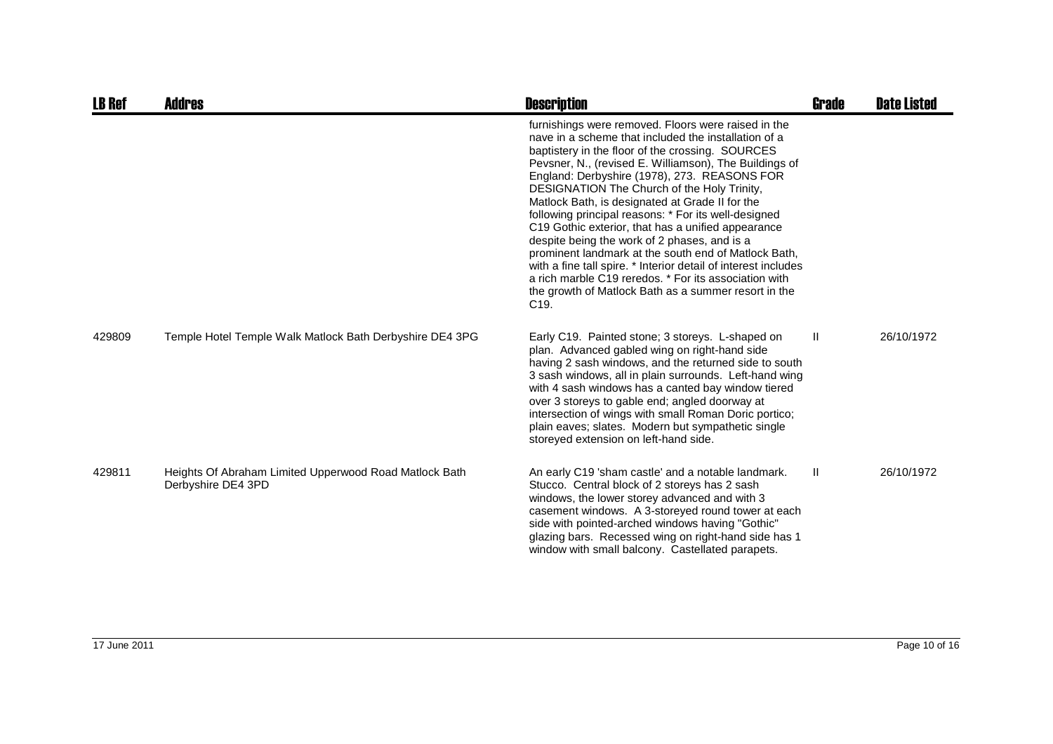| <b>LB Ref</b> | <b>Addres</b>                                                                | <b>Description</b>                                                                                                                                                                                                                                                                                                                                                                                                                                                                                                                                                                                                                                                                                                                                                                                        | <b>Grade</b> | <b>Date Listed</b> |
|---------------|------------------------------------------------------------------------------|-----------------------------------------------------------------------------------------------------------------------------------------------------------------------------------------------------------------------------------------------------------------------------------------------------------------------------------------------------------------------------------------------------------------------------------------------------------------------------------------------------------------------------------------------------------------------------------------------------------------------------------------------------------------------------------------------------------------------------------------------------------------------------------------------------------|--------------|--------------------|
|               |                                                                              | furnishings were removed. Floors were raised in the<br>nave in a scheme that included the installation of a<br>baptistery in the floor of the crossing. SOURCES<br>Pevsner, N., (revised E. Williamson), The Buildings of<br>England: Derbyshire (1978), 273. REASONS FOR<br>DESIGNATION The Church of the Holy Trinity,<br>Matlock Bath, is designated at Grade II for the<br>following principal reasons: * For its well-designed<br>C19 Gothic exterior, that has a unified appearance<br>despite being the work of 2 phases, and is a<br>prominent landmark at the south end of Matlock Bath,<br>with a fine tall spire. * Interior detail of interest includes<br>a rich marble C19 reredos. * For its association with<br>the growth of Matlock Bath as a summer resort in the<br>C <sub>19</sub> . |              |                    |
| 429809        | Temple Hotel Temple Walk Matlock Bath Derbyshire DE4 3PG                     | Early C19. Painted stone; 3 storeys. L-shaped on<br>plan. Advanced gabled wing on right-hand side<br>having 2 sash windows, and the returned side to south<br>3 sash windows, all in plain surrounds. Left-hand wing<br>with 4 sash windows has a canted bay window tiered<br>over 3 storeys to gable end; angled doorway at<br>intersection of wings with small Roman Doric portico;<br>plain eaves; slates. Modern but sympathetic single<br>storeyed extension on left-hand side.                                                                                                                                                                                                                                                                                                                      | H.           | 26/10/1972         |
| 429811        | Heights Of Abraham Limited Upperwood Road Matlock Bath<br>Derbyshire DE4 3PD | An early C19 'sham castle' and a notable landmark.<br>Stucco. Central block of 2 storeys has 2 sash<br>windows, the lower storey advanced and with 3<br>casement windows. A 3-storeyed round tower at each<br>side with pointed-arched windows having "Gothic"<br>glazing bars. Recessed wing on right-hand side has 1<br>window with small balcony. Castellated parapets.                                                                                                                                                                                                                                                                                                                                                                                                                                | -II          | 26/10/1972         |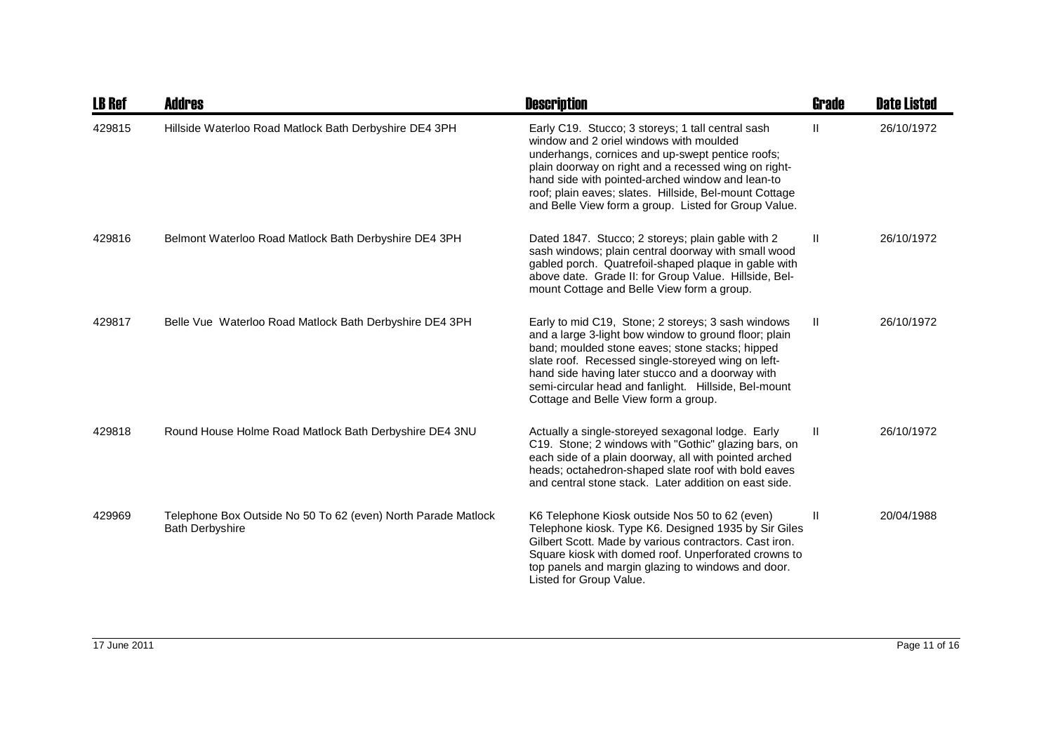| <b>LB Ref</b> | Addres                                                                                  | <b>Description</b>                                                                                                                                                                                                                                                                                                                                                             | Grade        | <b>Date Listed</b> |
|---------------|-----------------------------------------------------------------------------------------|--------------------------------------------------------------------------------------------------------------------------------------------------------------------------------------------------------------------------------------------------------------------------------------------------------------------------------------------------------------------------------|--------------|--------------------|
| 429815        | Hillside Waterloo Road Matlock Bath Derbyshire DE4 3PH                                  | Early C19. Stucco; 3 storeys; 1 tall central sash<br>window and 2 oriel windows with moulded<br>underhangs, cornices and up-swept pentice roofs;<br>plain doorway on right and a recessed wing on right-<br>hand side with pointed-arched window and lean-to<br>roof; plain eaves; slates. Hillside, Bel-mount Cottage<br>and Belle View form a group. Listed for Group Value. | H.           | 26/10/1972         |
| 429816        | Belmont Waterloo Road Matlock Bath Derbyshire DE4 3PH                                   | Dated 1847. Stucco; 2 storeys; plain gable with 2<br>sash windows; plain central doorway with small wood<br>gabled porch. Quatrefoil-shaped plaque in gable with<br>above date. Grade II: for Group Value. Hillside, Bel-<br>mount Cottage and Belle View form a group.                                                                                                        | H.           | 26/10/1972         |
| 429817        | Belle Vue Waterloo Road Matlock Bath Derbyshire DE4 3PH                                 | Early to mid C19, Stone; 2 storeys; 3 sash windows<br>and a large 3-light bow window to ground floor; plain<br>band; moulded stone eaves; stone stacks; hipped<br>slate roof. Recessed single-storeyed wing on left-<br>hand side having later stucco and a doorway with<br>semi-circular head and fanlight. Hillside, Bel-mount<br>Cottage and Belle View form a group.       | $\mathbf{H}$ | 26/10/1972         |
| 429818        | Round House Holme Road Matlock Bath Derbyshire DE4 3NU                                  | Actually a single-storeyed sexagonal lodge. Early<br>C19. Stone; 2 windows with "Gothic" glazing bars, on<br>each side of a plain doorway, all with pointed arched<br>heads; octahedron-shaped slate roof with bold eaves<br>and central stone stack. Later addition on east side.                                                                                             | Ш            | 26/10/1972         |
| 429969        | Telephone Box Outside No 50 To 62 (even) North Parade Matlock<br><b>Bath Derbyshire</b> | K6 Telephone Kiosk outside Nos 50 to 62 (even)<br>Telephone kiosk. Type K6. Designed 1935 by Sir Giles<br>Gilbert Scott. Made by various contractors. Cast iron.<br>Square kiosk with domed roof. Unperforated crowns to<br>top panels and margin glazing to windows and door.<br>Listed for Group Value.                                                                      | Ш            | 20/04/1988         |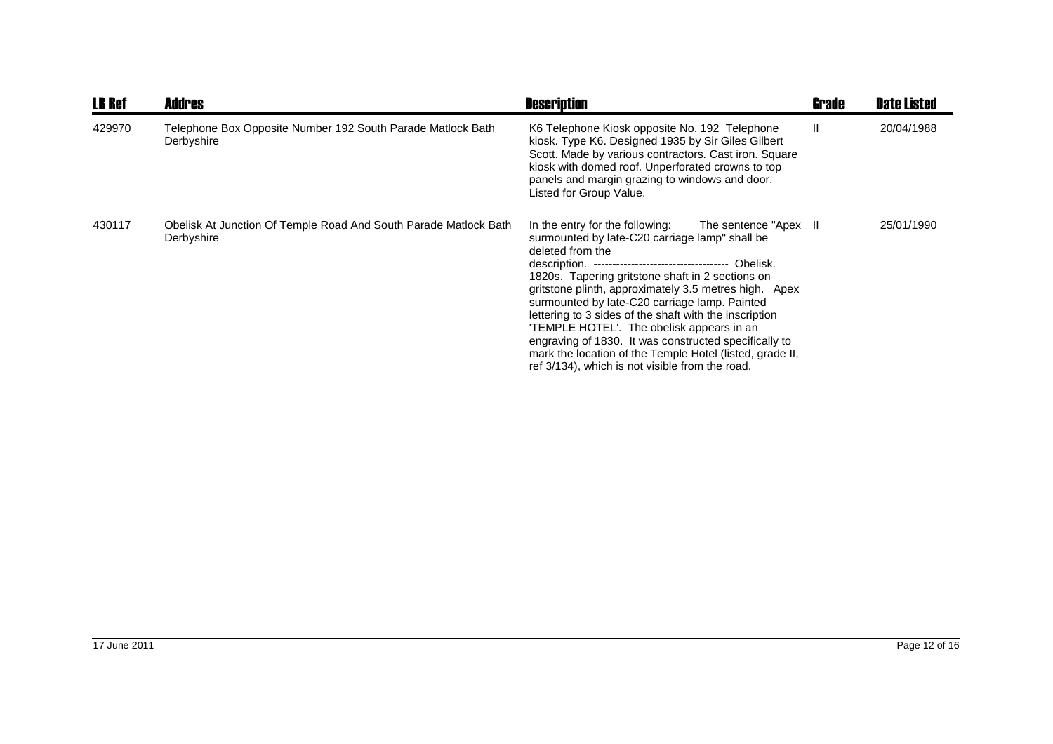| <b>LB Ref</b> | <b>Addres</b>                                                                  | <b>Description</b>                                                                                                                                                                                                                                                                                                                                                                                                                                                                                                                                                                                                                       | Grade | <b>Date Listed</b> |
|---------------|--------------------------------------------------------------------------------|------------------------------------------------------------------------------------------------------------------------------------------------------------------------------------------------------------------------------------------------------------------------------------------------------------------------------------------------------------------------------------------------------------------------------------------------------------------------------------------------------------------------------------------------------------------------------------------------------------------------------------------|-------|--------------------|
| 429970        | Telephone Box Opposite Number 192 South Parade Matlock Bath<br>Derbyshire      | K6 Telephone Kiosk opposite No. 192 Telephone<br>kiosk. Type K6. Designed 1935 by Sir Giles Gilbert<br>Scott. Made by various contractors. Cast iron. Square<br>kiosk with domed roof. Unperforated crowns to top<br>panels and margin grazing to windows and door.<br>Listed for Group Value.                                                                                                                                                                                                                                                                                                                                           | Ш     | 20/04/1988         |
| 430117        | Obelisk At Junction Of Temple Road And South Parade Matlock Bath<br>Derbyshire | In the entry for the following:<br>The sentence "Apex II<br>surmounted by late-C20 carriage lamp" shall be<br>deleted from the<br>description. ----------------------------------- Obelisk.<br>1820s. Tapering gritstone shaft in 2 sections on<br>gritstone plinth, approximately 3.5 metres high. Apex<br>surmounted by late-C20 carriage lamp. Painted<br>lettering to 3 sides of the shaft with the inscription<br>'TEMPLE HOTEL'. The obelisk appears in an<br>engraving of 1830. It was constructed specifically to<br>mark the location of the Temple Hotel (listed, grade II,<br>ref 3/134), which is not visible from the road. |       | 25/01/1990         |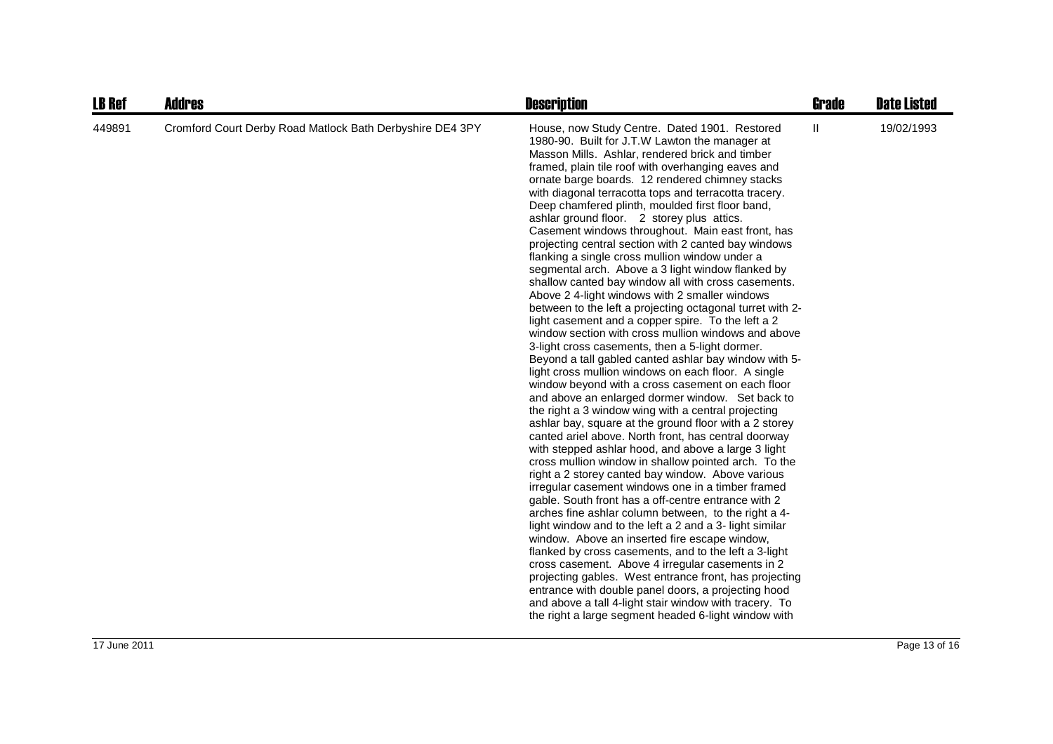| <b>LB Ref</b> | <b>Addres</b>                                             | <b>Description</b>                                                                                                                                                                                                                                                                                                                                                                                                                                                                                                                                                                                                                                                                                                                                                                                                                                                                                                                                                                                                                                                                                                                                                                                                                                                                                                                                                                                                                                                                                                                                                                                                                                                                                                                                                                                                                                                                                                                                                                                                                                                                                                                                                                     | <b>Grade</b> | <b>Date Listed</b> |
|---------------|-----------------------------------------------------------|----------------------------------------------------------------------------------------------------------------------------------------------------------------------------------------------------------------------------------------------------------------------------------------------------------------------------------------------------------------------------------------------------------------------------------------------------------------------------------------------------------------------------------------------------------------------------------------------------------------------------------------------------------------------------------------------------------------------------------------------------------------------------------------------------------------------------------------------------------------------------------------------------------------------------------------------------------------------------------------------------------------------------------------------------------------------------------------------------------------------------------------------------------------------------------------------------------------------------------------------------------------------------------------------------------------------------------------------------------------------------------------------------------------------------------------------------------------------------------------------------------------------------------------------------------------------------------------------------------------------------------------------------------------------------------------------------------------------------------------------------------------------------------------------------------------------------------------------------------------------------------------------------------------------------------------------------------------------------------------------------------------------------------------------------------------------------------------------------------------------------------------------------------------------------------------|--------------|--------------------|
| 449891        | Cromford Court Derby Road Matlock Bath Derbyshire DE4 3PY | House, now Study Centre. Dated 1901. Restored<br>1980-90. Built for J.T.W Lawton the manager at<br>Masson Mills. Ashlar, rendered brick and timber<br>framed, plain tile roof with overhanging eaves and<br>ornate barge boards. 12 rendered chimney stacks<br>with diagonal terracotta tops and terracotta tracery.<br>Deep chamfered plinth, moulded first floor band,<br>ashlar ground floor. 2 storey plus attics.<br>Casement windows throughout. Main east front, has<br>projecting central section with 2 canted bay windows<br>flanking a single cross mullion window under a<br>segmental arch. Above a 3 light window flanked by<br>shallow canted bay window all with cross casements.<br>Above 2 4-light windows with 2 smaller windows<br>between to the left a projecting octagonal turret with 2-<br>light casement and a copper spire. To the left a 2<br>window section with cross mullion windows and above<br>3-light cross casements, then a 5-light dormer.<br>Beyond a tall gabled canted ashlar bay window with 5-<br>light cross mullion windows on each floor. A single<br>window beyond with a cross casement on each floor<br>and above an enlarged dormer window. Set back to<br>the right a 3 window wing with a central projecting<br>ashlar bay, square at the ground floor with a 2 storey<br>canted ariel above. North front, has central doorway<br>with stepped ashlar hood, and above a large 3 light<br>cross mullion window in shallow pointed arch. To the<br>right a 2 storey canted bay window. Above various<br>irregular casement windows one in a timber framed<br>gable. South front has a off-centre entrance with 2<br>arches fine ashlar column between, to the right a 4-<br>light window and to the left a 2 and a 3- light similar<br>window. Above an inserted fire escape window,<br>flanked by cross casements, and to the left a 3-light<br>cross casement. Above 4 irregular casements in 2<br>projecting gables. West entrance front, has projecting<br>entrance with double panel doors, a projecting hood<br>and above a tall 4-light stair window with tracery. To<br>the right a large segment headed 6-light window with | Ш            | 19/02/1993         |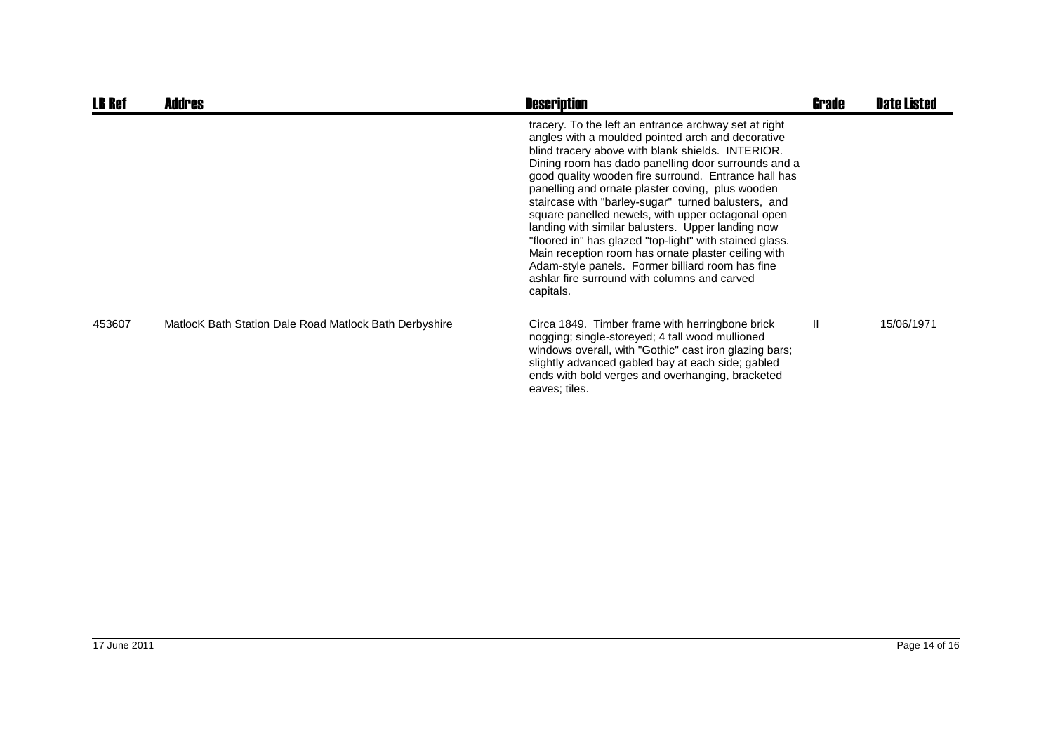| <b>LB Ref</b> | <b>Addres</b>                                          | <b>Description</b>                                                                                                                                                                                                                                                                                                                                                                                                                                                                                                                                                                                                                                                                                                                     | Grade        | <b>Date Listed</b> |
|---------------|--------------------------------------------------------|----------------------------------------------------------------------------------------------------------------------------------------------------------------------------------------------------------------------------------------------------------------------------------------------------------------------------------------------------------------------------------------------------------------------------------------------------------------------------------------------------------------------------------------------------------------------------------------------------------------------------------------------------------------------------------------------------------------------------------------|--------------|--------------------|
|               |                                                        | tracery. To the left an entrance archway set at right<br>angles with a moulded pointed arch and decorative<br>blind tracery above with blank shields. INTERIOR.<br>Dining room has dado panelling door surrounds and a<br>good quality wooden fire surround. Entrance hall has<br>panelling and ornate plaster coving, plus wooden<br>staircase with "barley-sugar" turned balusters, and<br>square panelled newels, with upper octagonal open<br>landing with similar balusters. Upper landing now<br>"floored in" has glazed "top-light" with stained glass.<br>Main reception room has ornate plaster ceiling with<br>Adam-style panels. Former billiard room has fine<br>ashlar fire surround with columns and carved<br>capitals. |              |                    |
| 453607        | MatlocK Bath Station Dale Road Matlock Bath Derbyshire | Circa 1849. Timber frame with herringbone brick<br>nogging; single-storeyed; 4 tall wood mullioned<br>windows overall, with "Gothic" cast iron glazing bars;<br>slightly advanced gabled bay at each side; gabled<br>ends with bold verges and overhanging, bracketed<br>eaves; tiles.                                                                                                                                                                                                                                                                                                                                                                                                                                                 | $\mathbf{H}$ | 15/06/1971         |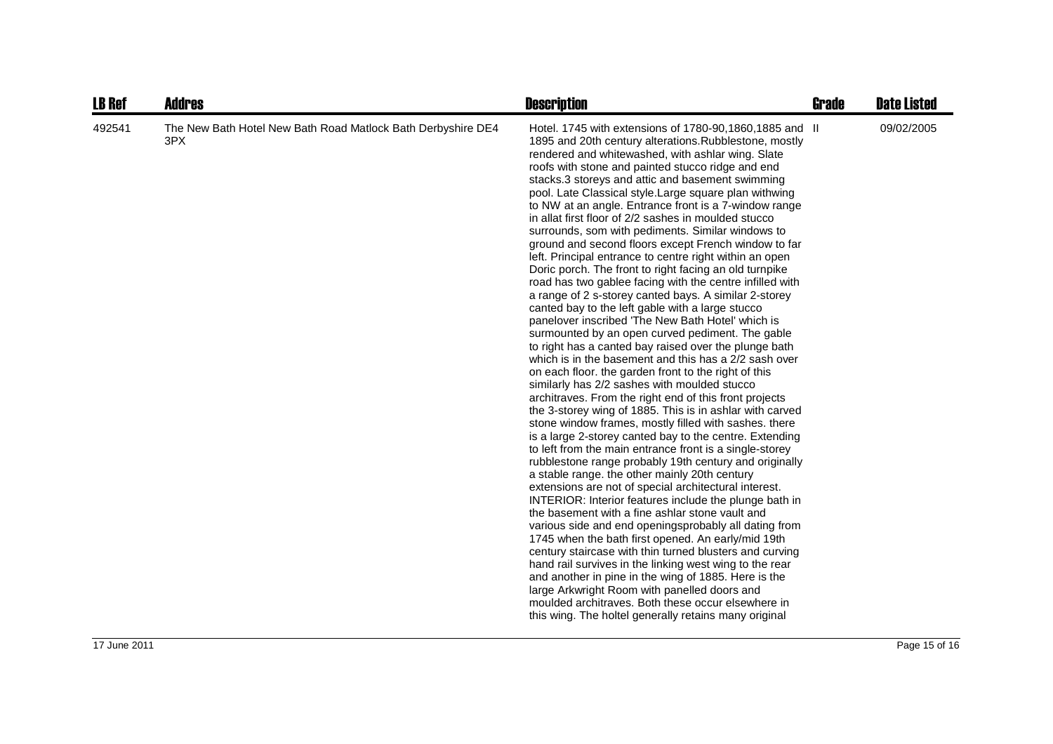| <b>LB Ref</b> | <b>Addres</b>                                                       | <b>Description</b>                                                                                                                                                                                                                                                                                                                                                                                                                                                                                                                                                                                                                                                                                                                                                                                                                                                                                                                                                                                                                                                                                                                                                                                                                                                                                                                                                                                                                                                                                                                                                                                                                                                                                                                                                                                                                                                                                                                                                                                                                                                                                                                                                                                                                                         | <b>Grade</b> | <b>Date Listed</b> |
|---------------|---------------------------------------------------------------------|------------------------------------------------------------------------------------------------------------------------------------------------------------------------------------------------------------------------------------------------------------------------------------------------------------------------------------------------------------------------------------------------------------------------------------------------------------------------------------------------------------------------------------------------------------------------------------------------------------------------------------------------------------------------------------------------------------------------------------------------------------------------------------------------------------------------------------------------------------------------------------------------------------------------------------------------------------------------------------------------------------------------------------------------------------------------------------------------------------------------------------------------------------------------------------------------------------------------------------------------------------------------------------------------------------------------------------------------------------------------------------------------------------------------------------------------------------------------------------------------------------------------------------------------------------------------------------------------------------------------------------------------------------------------------------------------------------------------------------------------------------------------------------------------------------------------------------------------------------------------------------------------------------------------------------------------------------------------------------------------------------------------------------------------------------------------------------------------------------------------------------------------------------------------------------------------------------------------------------------------------------|--------------|--------------------|
| 492541        | The New Bath Hotel New Bath Road Matlock Bath Derbyshire DE4<br>3PX | Hotel. 1745 with extensions of 1780-90,1860,1885 and II<br>1895 and 20th century alterations. Rubblestone, mostly<br>rendered and whitewashed, with ashlar wing. Slate<br>roofs with stone and painted stucco ridge and end<br>stacks.3 storeys and attic and basement swimming<br>pool. Late Classical style. Large square plan withwing<br>to NW at an angle. Entrance front is a 7-window range<br>in allat first floor of 2/2 sashes in moulded stucco<br>surrounds, som with pediments. Similar windows to<br>ground and second floors except French window to far<br>left. Principal entrance to centre right within an open<br>Doric porch. The front to right facing an old turnpike<br>road has two gablee facing with the centre infilled with<br>a range of 2 s-storey canted bays. A similar 2-storey<br>canted bay to the left gable with a large stucco<br>panelover inscribed 'The New Bath Hotel' which is<br>surmounted by an open curved pediment. The gable<br>to right has a canted bay raised over the plunge bath<br>which is in the basement and this has a 2/2 sash over<br>on each floor. the garden front to the right of this<br>similarly has 2/2 sashes with moulded stucco<br>architraves. From the right end of this front projects<br>the 3-storey wing of 1885. This is in ashlar with carved<br>stone window frames, mostly filled with sashes. there<br>is a large 2-storey canted bay to the centre. Extending<br>to left from the main entrance front is a single-storey<br>rubblestone range probably 19th century and originally<br>a stable range. the other mainly 20th century<br>extensions are not of special architectural interest.<br>INTERIOR: Interior features include the plunge bath in<br>the basement with a fine ashlar stone vault and<br>various side and end openingsprobably all dating from<br>1745 when the bath first opened. An early/mid 19th<br>century staircase with thin turned blusters and curving<br>hand rail survives in the linking west wing to the rear<br>and another in pine in the wing of 1885. Here is the<br>large Arkwright Room with panelled doors and<br>moulded architraves. Both these occur elsewhere in<br>this wing. The holtel generally retains many original |              | 09/02/2005         |